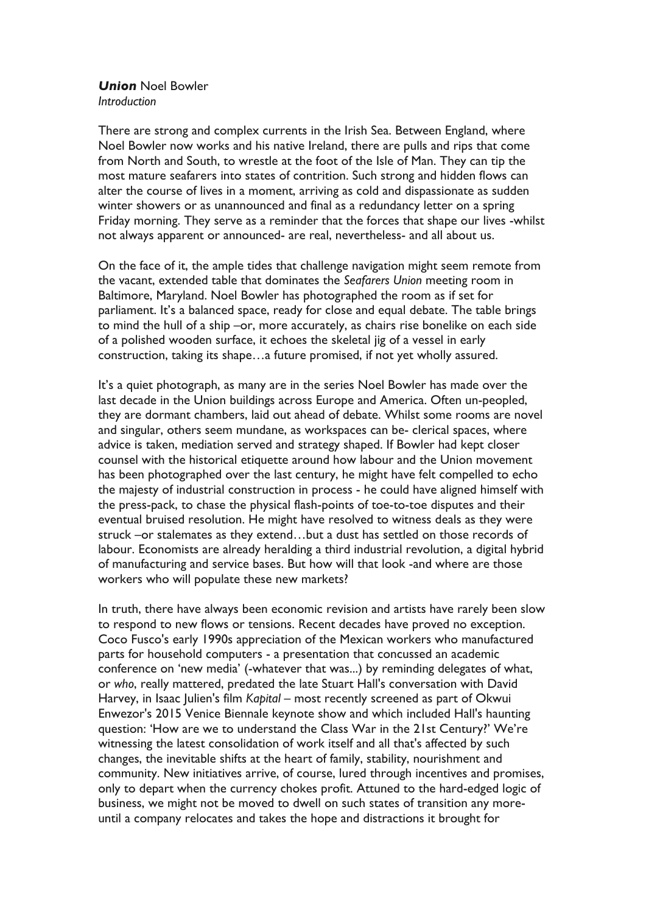## *Union* Noel Bowler *Introduction*

There are strong and complex currents in the Irish Sea. Between England, where Noel Bowler now works and his native Ireland, there are pulls and rips that come from North and South, to wrestle at the foot of the Isle of Man. They can tip the most mature seafarers into states of contrition. Such strong and hidden flows can alter the course of lives in a moment, arriving as cold and dispassionate as sudden winter showers or as unannounced and final as a redundancy letter on a spring Friday morning. They serve as a reminder that the forces that shape our lives -whilst not always apparent or announced- are real, nevertheless- and all about us.

On the face of it, the ample tides that challenge navigation might seem remote from the vacant, extended table that dominates the *Seafarers Union* meeting room in Baltimore, Maryland. Noel Bowler has photographed the room as if set for parliament. It's a balanced space, ready for close and equal debate. The table brings to mind the hull of a ship –or, more accurately, as chairs rise bonelike on each side of a polished wooden surface, it echoes the skeletal jig of a vessel in early construction, taking its shape…a future promised, if not yet wholly assured.

It's a quiet photograph, as many are in the series Noel Bowler has made over the last decade in the Union buildings across Europe and America. Often un-peopled, they are dormant chambers, laid out ahead of debate. Whilst some rooms are novel and singular, others seem mundane, as workspaces can be- clerical spaces, where advice is taken, mediation served and strategy shaped. If Bowler had kept closer counsel with the historical etiquette around how labour and the Union movement has been photographed over the last century, he might have felt compelled to echo the majesty of industrial construction in process - he could have aligned himself with the press-pack, to chase the physical flash-points of toe-to-toe disputes and their eventual bruised resolution. He might have resolved to witness deals as they were struck –or stalemates as they extend…but a dust has settled on those records of labour. Economists are already heralding a third industrial revolution, a digital hybrid of manufacturing and service bases. But how will that look -and where are those workers who will populate these new markets?

In truth, there have always been economic revision and artists have rarely been slow to respond to new flows or tensions. Recent decades have proved no exception. Coco Fusco's early 1990s appreciation of the Mexican workers who manufactured parts for household computers - a presentation that concussed an academic conference on 'new media' (-whatever that was...) by reminding delegates of what, or *who*, really mattered, predated the late Stuart Hall's conversation with David Harvey, in Isaac Julien's film *Kapital* – most recently screened as part of Okwui Enwezor's 2015 Venice Biennale keynote show and which included Hall's haunting question: 'How are we to understand the Class War in the 21st Century?' We're witnessing the latest consolidation of work itself and all that's affected by such changes, the inevitable shifts at the heart of family, stability, nourishment and community. New initiatives arrive, of course, lured through incentives and promises, only to depart when the currency chokes profit. Attuned to the hard-edged logic of business, we might not be moved to dwell on such states of transition any moreuntil a company relocates and takes the hope and distractions it brought for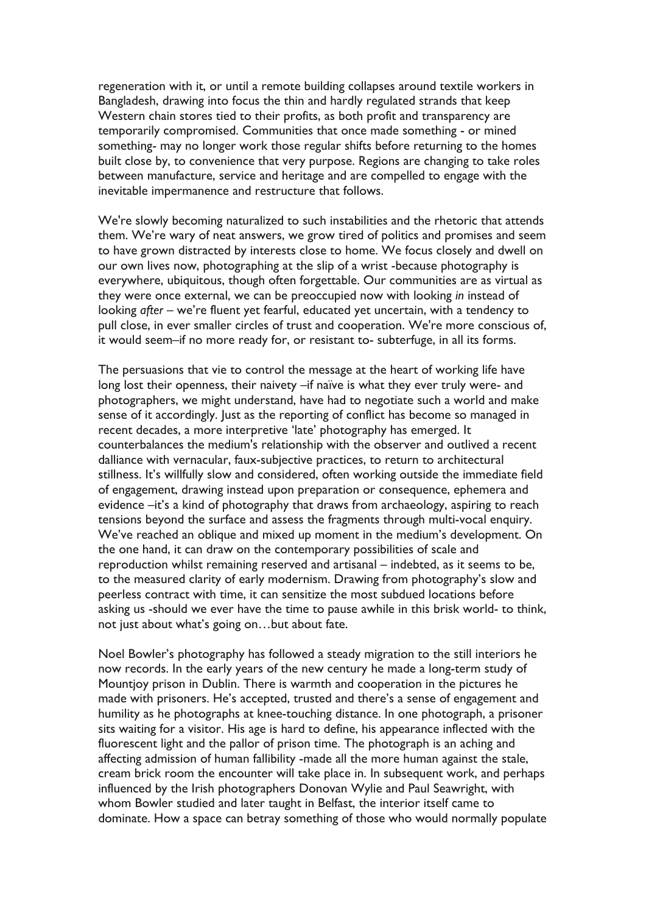regeneration with it, or until a remote building collapses around textile workers in Bangladesh, drawing into focus the thin and hardly regulated strands that keep Western chain stores tied to their profits, as both profit and transparency are temporarily compromised. Communities that once made something - or mined something- may no longer work those regular shifts before returning to the homes built close by, to convenience that very purpose. Regions are changing to take roles between manufacture, service and heritage and are compelled to engage with the inevitable impermanence and restructure that follows.

We're slowly becoming naturalized to such instabilities and the rhetoric that attends them. We're wary of neat answers, we grow tired of politics and promises and seem to have grown distracted by interests close to home. We focus closely and dwell on our own lives now, photographing at the slip of a wrist -because photography is everywhere, ubiquitous, though often forgettable. Our communities are as virtual as they were once external, we can be preoccupied now with looking *in* instead of looking *after* – we're fluent yet fearful, educated yet uncertain, with a tendency to pull close, in ever smaller circles of trust and cooperation. We're more conscious of, it would seem–if no more ready for, or resistant to- subterfuge, in all its forms.

The persuasions that vie to control the message at the heart of working life have long lost their openness, their naivety –if naïve is what they ever truly were- and photographers, we might understand, have had to negotiate such a world and make sense of it accordingly. Just as the reporting of conflict has become so managed in recent decades, a more interpretive 'late' photography has emerged. It counterbalances the medium's relationship with the observer and outlived a recent dalliance with vernacular, faux-subjective practices, to return to architectural stillness. It's willfully slow and considered, often working outside the immediate field of engagement, drawing instead upon preparation or consequence, ephemera and evidence –it's a kind of photography that draws from archaeology, aspiring to reach tensions beyond the surface and assess the fragments through multi-vocal enquiry. We've reached an oblique and mixed up moment in the medium's development. On the one hand, it can draw on the contemporary possibilities of scale and reproduction whilst remaining reserved and artisanal – indebted, as it seems to be, to the measured clarity of early modernism. Drawing from photography's slow and peerless contract with time, it can sensitize the most subdued locations before asking us -should we ever have the time to pause awhile in this brisk world- to think, not just about what's going on…but about fate.

Noel Bowler's photography has followed a steady migration to the still interiors he now records. In the early years of the new century he made a long-term study of Mountjoy prison in Dublin. There is warmth and cooperation in the pictures he made with prisoners. He's accepted, trusted and there's a sense of engagement and humility as he photographs at knee-touching distance. In one photograph, a prisoner sits waiting for a visitor. His age is hard to define, his appearance inflected with the fluorescent light and the pallor of prison time. The photograph is an aching and affecting admission of human fallibility -made all the more human against the stale, cream brick room the encounter will take place in. In subsequent work, and perhaps influenced by the Irish photographers Donovan Wylie and Paul Seawright, with whom Bowler studied and later taught in Belfast, the interior itself came to dominate. How a space can betray something of those who would normally populate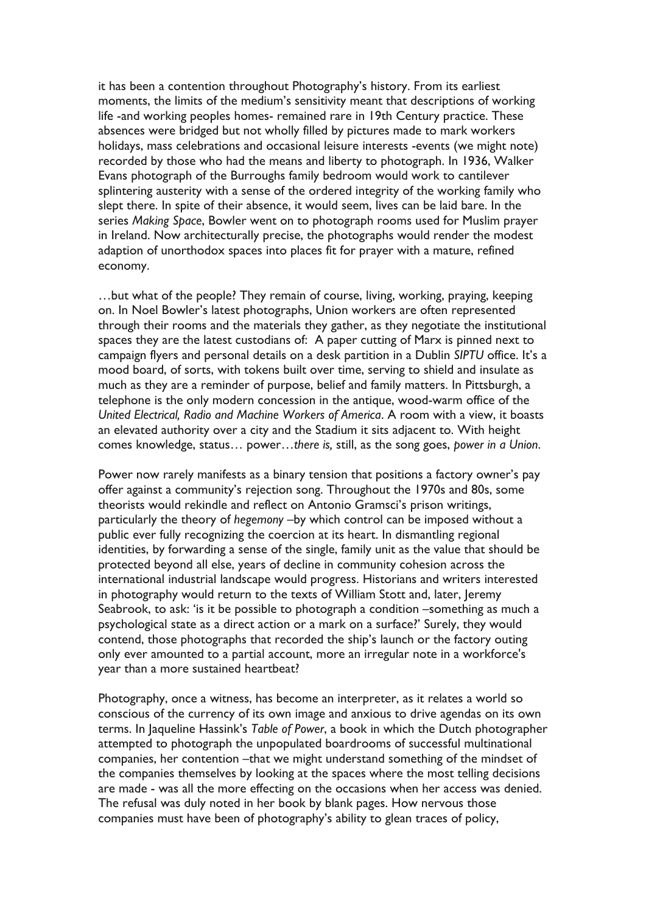it has been a contention throughout Photography's history. From its earliest moments, the limits of the medium's sensitivity meant that descriptions of working life -and working peoples homes- remained rare in 19th Century practice. These absences were bridged but not wholly filled by pictures made to mark workers holidays, mass celebrations and occasional leisure interests -events (we might note) recorded by those who had the means and liberty to photograph. In 1936, Walker Evans photograph of the Burroughs family bedroom would work to cantilever splintering austerity with a sense of the ordered integrity of the working family who slept there. In spite of their absence, it would seem, lives can be laid bare. In the series *Making Space*, Bowler went on to photograph rooms used for Muslim prayer in Ireland. Now architecturally precise, the photographs would render the modest adaption of unorthodox spaces into places fit for prayer with a mature, refined economy.

…but what of the people? They remain of course, living, working, praying, keeping on. In Noel Bowler's latest photographs, Union workers are often represented through their rooms and the materials they gather, as they negotiate the institutional spaces they are the latest custodians of: A paper cutting of Marx is pinned next to campaign flyers and personal details on a desk partition in a Dublin *SIPTU* office. It's a mood board, of sorts, with tokens built over time, serving to shield and insulate as much as they are a reminder of purpose, belief and family matters. In Pittsburgh, a telephone is the only modern concession in the antique, wood-warm office of the *United Electrical, Radio and Machine Workers of America*. A room with a view, it boasts an elevated authority over a city and the Stadium it sits adjacent to. With height comes knowledge, status… power…*there is,* still, as the song goes, *power in a Union*.

Power now rarely manifests as a binary tension that positions a factory owner's pay offer against a community's rejection song. Throughout the 1970s and 80s, some theorists would rekindle and reflect on Antonio Gramsci's prison writings, particularly the theory of *hegemony* –by which control can be imposed without a public ever fully recognizing the coercion at its heart. In dismantling regional identities, by forwarding a sense of the single, family unit as the value that should be protected beyond all else, years of decline in community cohesion across the international industrial landscape would progress. Historians and writers interested in photography would return to the texts of William Stott and, later, Jeremy Seabrook, to ask: 'is it be possible to photograph a condition –something as much a psychological state as a direct action or a mark on a surface?' Surely, they would contend, those photographs that recorded the ship's launch or the factory outing only ever amounted to a partial account, more an irregular note in a workforce's year than a more sustained heartbeat?

Photography, once a witness, has become an interpreter, as it relates a world so conscious of the currency of its own image and anxious to drive agendas on its own terms. In Jaqueline Hassink's *Table of Power*, a book in which the Dutch photographer attempted to photograph the unpopulated boardrooms of successful multinational companies, her contention –that we might understand something of the mindset of the companies themselves by looking at the spaces where the most telling decisions are made - was all the more effecting on the occasions when her access was denied. The refusal was duly noted in her book by blank pages. How nervous those companies must have been of photography's ability to glean traces of policy,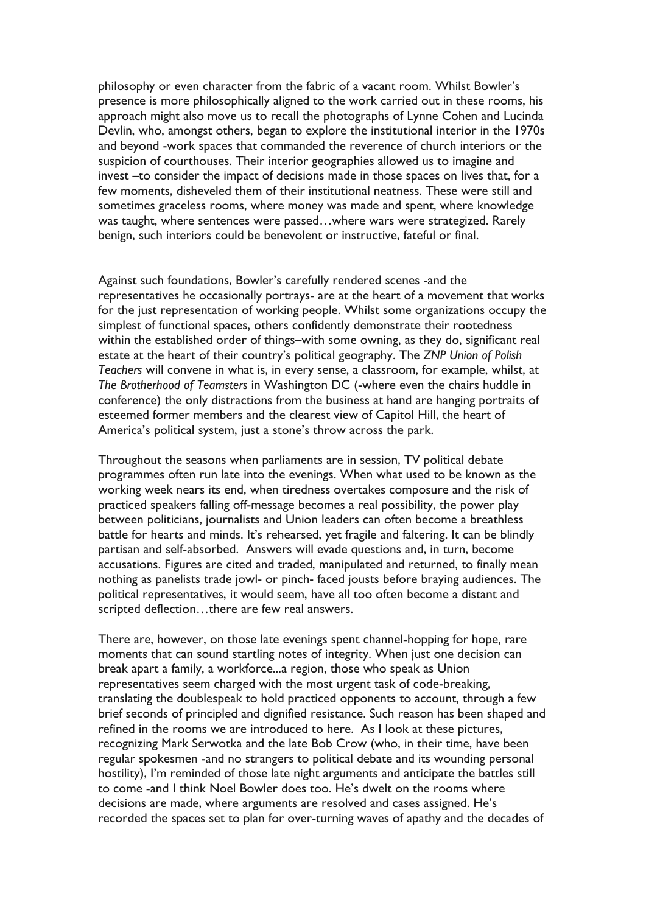philosophy or even character from the fabric of a vacant room. Whilst Bowler's presence is more philosophically aligned to the work carried out in these rooms, his approach might also move us to recall the photographs of Lynne Cohen and Lucinda Devlin, who, amongst others, began to explore the institutional interior in the 1970s and beyond -work spaces that commanded the reverence of church interiors or the suspicion of courthouses. Their interior geographies allowed us to imagine and invest –to consider the impact of decisions made in those spaces on lives that, for a few moments, disheveled them of their institutional neatness. These were still and sometimes graceless rooms, where money was made and spent, where knowledge was taught, where sentences were passed…where wars were strategized. Rarely benign, such interiors could be benevolent or instructive, fateful or final.

Against such foundations, Bowler's carefully rendered scenes -and the representatives he occasionally portrays- are at the heart of a movement that works for the just representation of working people. Whilst some organizations occupy the simplest of functional spaces, others confidently demonstrate their rootedness within the established order of things–with some owning, as they do, significant real estate at the heart of their country's political geography. The *ZNP Union of Polish Teachers* will convene in what is, in every sense, a classroom, for example, whilst, at *The Brotherhood of Teamsters* in Washington DC (-where even the chairs huddle in conference) the only distractions from the business at hand are hanging portraits of esteemed former members and the clearest view of Capitol Hill, the heart of America's political system, just a stone's throw across the park.

Throughout the seasons when parliaments are in session, TV political debate programmes often run late into the evenings. When what used to be known as the working week nears its end, when tiredness overtakes composure and the risk of practiced speakers falling off-message becomes a real possibility, the power play between politicians, journalists and Union leaders can often become a breathless battle for hearts and minds. It's rehearsed, yet fragile and faltering. It can be blindly partisan and self-absorbed. Answers will evade questions and, in turn, become accusations. Figures are cited and traded, manipulated and returned, to finally mean nothing as panelists trade jowl- or pinch- faced jousts before braying audiences. The political representatives, it would seem, have all too often become a distant and scripted deflection…there are few real answers.

There are, however, on those late evenings spent channel-hopping for hope, rare moments that can sound startling notes of integrity. When just one decision can break apart a family, a workforce...a region, those who speak as Union representatives seem charged with the most urgent task of code-breaking, translating the doublespeak to hold practiced opponents to account, through a few brief seconds of principled and dignified resistance. Such reason has been shaped and refined in the rooms we are introduced to here. As I look at these pictures, recognizing Mark Serwotka and the late Bob Crow (who, in their time, have been regular spokesmen -and no strangers to political debate and its wounding personal hostility), I'm reminded of those late night arguments and anticipate the battles still to come -and I think Noel Bowler does too. He's dwelt on the rooms where decisions are made, where arguments are resolved and cases assigned. He's recorded the spaces set to plan for over-turning waves of apathy and the decades of